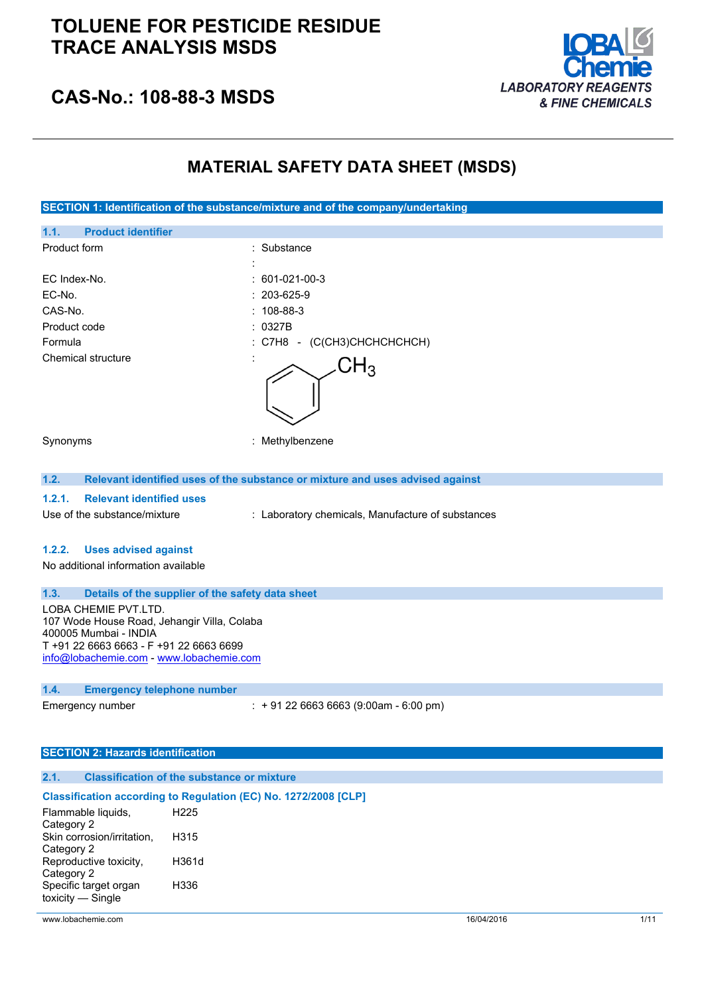# **TOLUENE FOR PESTICIDE RESIDUE TRACE ANALYSIS MSDS**



**CAS-No.: 108-88-3 MSDS**

# **MATERIAL SAFETY DATA SHEET (MSDS)**

**SECTION 1: Identification of the substance/mixture and of the company/undertaking**

| 1.1.<br><b>Product identifier</b>         |                                                                               |
|-------------------------------------------|-------------------------------------------------------------------------------|
| Product form                              | : Substance                                                                   |
|                                           |                                                                               |
| EC Index-No.                              | $: 601-021-00-3$                                                              |
| EC-No.                                    | $: 203 - 625 - 9$                                                             |
| CAS-No.                                   | $: 108 - 88 - 3$                                                              |
| Product code                              | : 0327B                                                                       |
| Formula                                   | : C7H8 - (C(CH3)CHCHCHCHCH)                                                   |
| Chemical structure                        | ${\sf H}_3$                                                                   |
| Synonyms                                  | Methylbenzene<br>÷                                                            |
| 1.2.                                      | Relevant identified uses of the substance or mixture and uses advised against |
| <b>Relevant identified uses</b><br>1.2.1. |                                                                               |
| Use of the substance/mixture              | : Laboratory chemicals, Manufacture of substances                             |

#### **1.2.2. Uses advised against**

No additional information available

#### **1.3. Details of the supplier of the safety data sheet**

LOBA CHEMIE PVT.LTD. 107 Wode House Road, Jehangir Villa, Colaba 400005 Mumbai - INDIA T +91 22 6663 6663 - F +91 22 6663 6699 [info@lobachemie.com](mailto:info@lobachemie.com) - <www.lobachemie.com>

#### **1.4. Emergency telephone number**

Emergency number : + 91 22 6663 6663 (9:00am - 6:00 pm)

#### **SECTION 2: Hazards identification**

#### **2.1. Classification of the substance or mixture**

### **Classification according to Regulation (EC) No. 1272/2008 [CLP]**

| Flammable liquids,         | H <sub>225</sub> |
|----------------------------|------------------|
| Category 2                 |                  |
| Skin corrosion/irritation, | H315             |
| Category 2                 |                  |
| Reproductive toxicity,     | H361d            |
| Category 2                 |                  |
| Specific target organ      | H336             |
| toxicity - Single          |                  |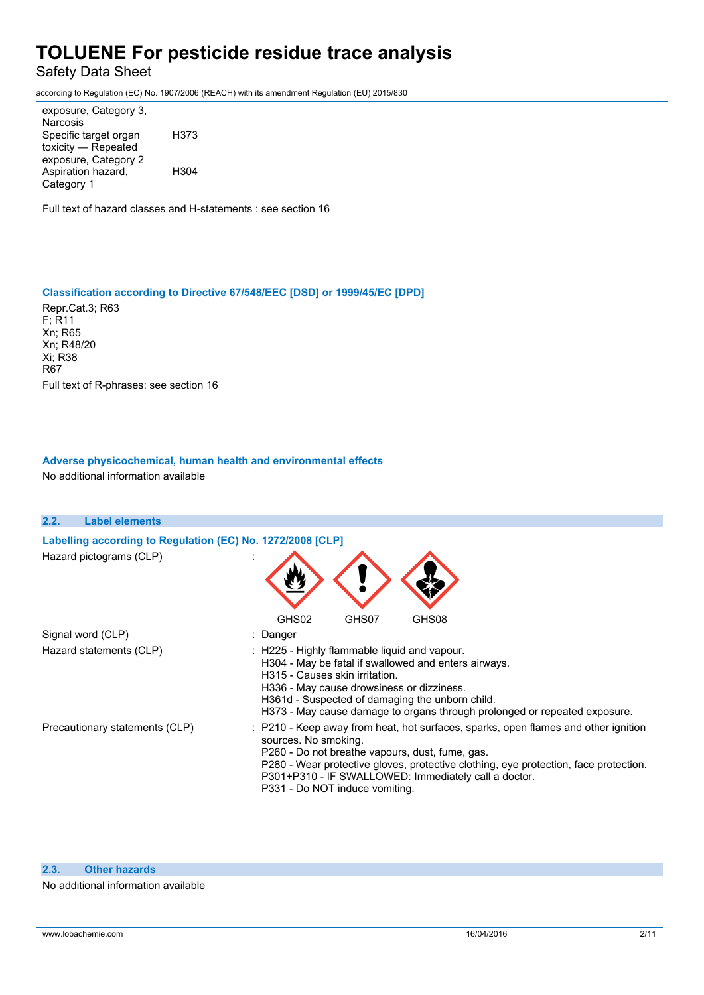Safety Data Sheet

according to Regulation (EC) No. 1907/2006 (REACH) with its amendment Regulation (EU) 2015/830

exposure, Category 3, Narcosis Specific target organ toxicity — Repeated exposure, Category 2 H373 Aspiration hazard, Category 1 H304

Full text of hazard classes and H-statements : see section 16

### **Classification according to Directive 67/548/EEC [DSD] or 1999/45/EC [DPD]**

Repr.Cat.3; R63 F; R11 Xn; R65 Xn; R48/20 Xi; R38 R67 Full text of R-phrases: see section 16

### **Adverse physicochemical, human health and environmental effects** No additional information available

| 2.2. | <b>Label elements</b>                                      |                                                                                                                                                                                                                                                                                                                                                 |
|------|------------------------------------------------------------|-------------------------------------------------------------------------------------------------------------------------------------------------------------------------------------------------------------------------------------------------------------------------------------------------------------------------------------------------|
|      | Labelling according to Regulation (EC) No. 1272/2008 [CLP] |                                                                                                                                                                                                                                                                                                                                                 |
|      | Hazard pictograms (CLP)                                    |                                                                                                                                                                                                                                                                                                                                                 |
|      |                                                            | GHS02<br>GHS07<br>GHS08                                                                                                                                                                                                                                                                                                                         |
|      | Signal word (CLP)                                          | : Danger                                                                                                                                                                                                                                                                                                                                        |
|      | Hazard statements (CLP)                                    | : H225 - Highly flammable liquid and vapour.<br>H304 - May be fatal if swallowed and enters airways.<br>H315 - Causes skin irritation.<br>H336 - May cause drowsiness or dizziness.<br>H361d - Suspected of damaging the unborn child.<br>H373 - May cause damage to organs through prolonged or repeated exposure.                             |
|      | Precautionary statements (CLP)                             | : P210 - Keep away from heat, hot surfaces, sparks, open flames and other ignition<br>sources. No smoking.<br>P260 - Do not breathe vapours, dust, fume, gas.<br>P280 - Wear protective gloves, protective clothing, eye protection, face protection.<br>P301+P310 - IF SWALLOWED: Immediately call a doctor.<br>P331 - Do NOT induce vomiting. |

#### **2.3. Other hazards**

#### No additional information available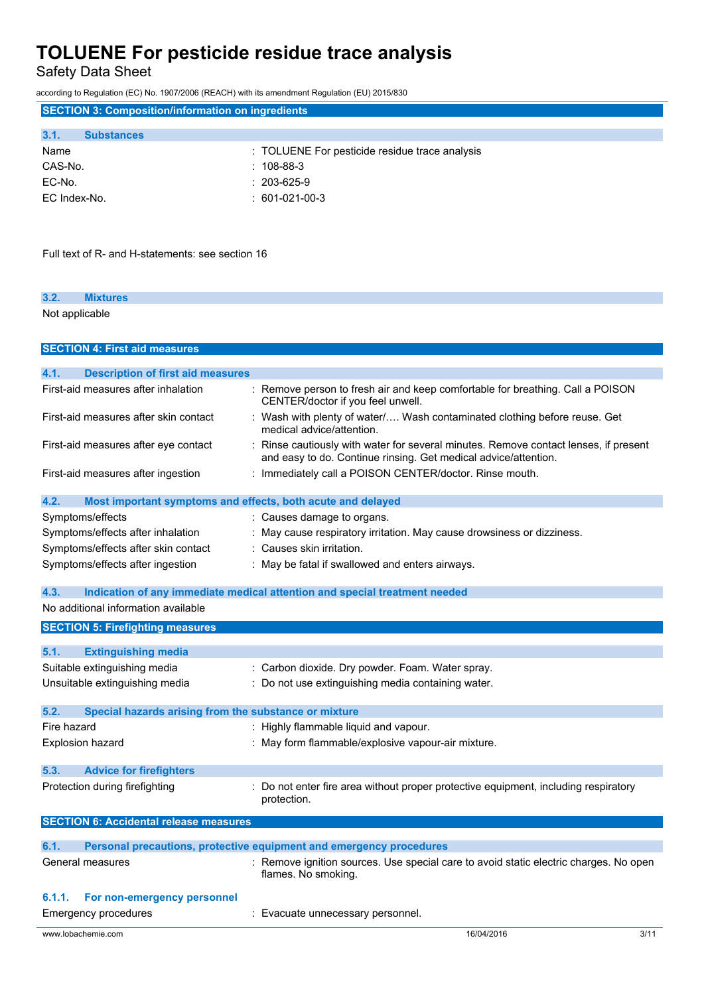Safety Data Sheet

according to Regulation (EC) No. 1907/2006 (REACH) with its amendment Regulation (EU) 2015/830

| <b>SECTION 3: Composition/information on ingredients</b>      |                                                                                                                                                       |
|---------------------------------------------------------------|-------------------------------------------------------------------------------------------------------------------------------------------------------|
| 3.1.<br><b>Substances</b>                                     |                                                                                                                                                       |
| Name                                                          | : TOLUENE For pesticide residue trace analysis                                                                                                        |
| CAS-No.                                                       | 108-88-3                                                                                                                                              |
| EC-No.                                                        | 203-625-9                                                                                                                                             |
| EC Index-No.                                                  | $: 601-021-00-3$                                                                                                                                      |
|                                                               |                                                                                                                                                       |
| Full text of R- and H-statements: see section 16              |                                                                                                                                                       |
| 3.2.<br><b>Mixtures</b>                                       |                                                                                                                                                       |
| Not applicable                                                |                                                                                                                                                       |
| <b>SECTION 4: First aid measures</b>                          |                                                                                                                                                       |
| 4.1.<br><b>Description of first aid measures</b>              |                                                                                                                                                       |
| First-aid measures after inhalation                           | Remove person to fresh air and keep comfortable for breathing. Call a POISON<br>CENTER/doctor if you feel unwell.                                     |
| First-aid measures after skin contact                         | : Wash with plenty of water/ Wash contaminated clothing before reuse. Get<br>medical advice/attention.                                                |
| First-aid measures after eye contact                          | Rinse cautiously with water for several minutes. Remove contact lenses, if present<br>and easy to do. Continue rinsing. Get medical advice/attention. |
| First-aid measures after ingestion                            | : Immediately call a POISON CENTER/doctor. Rinse mouth.                                                                                               |
| 4.2.                                                          | Most important symptoms and effects, both acute and delayed                                                                                           |
| Symptoms/effects                                              | : Causes damage to organs.                                                                                                                            |
| Symptoms/effects after inhalation                             | : May cause respiratory irritation. May cause drowsiness or dizziness.                                                                                |
| Symptoms/effects after skin contact                           | : Causes skin irritation.                                                                                                                             |
| Symptoms/effects after ingestion                              | : May be fatal if swallowed and enters airways.                                                                                                       |
| 4.3.                                                          | Indication of any immediate medical attention and special treatment needed                                                                            |
| No additional information available                           |                                                                                                                                                       |
| <b>SECTION 5: Firefighting measures</b>                       |                                                                                                                                                       |
| 5.1.<br><b>Extinguishing media</b>                            |                                                                                                                                                       |
| Suitable extinguishing media                                  | : Carbon dioxide. Dry powder. Foam. Water spray.                                                                                                      |
| Unsuitable extinguishing media                                | Do not use extinguishing media containing water.                                                                                                      |
|                                                               |                                                                                                                                                       |
| 5.2.<br>Special hazards arising from the substance or mixture |                                                                                                                                                       |
| Fire hazard                                                   | : Highly flammable liquid and vapour.                                                                                                                 |
| <b>Explosion hazard</b>                                       | May form flammable/explosive vapour-air mixture.                                                                                                      |
| 5.3.<br><b>Advice for firefighters</b>                        |                                                                                                                                                       |
| Protection during firefighting                                | Do not enter fire area without proper protective equipment, including respiratory<br>protection.                                                      |
| <b>SECTION 6: Accidental release measures</b>                 |                                                                                                                                                       |
| 6.1.                                                          | Personal precautions, protective equipment and emergency procedures                                                                                   |
| General measures                                              | : Remove ignition sources. Use special care to avoid static electric charges. No open<br>flames. No smoking.                                          |
| 6.1.1.<br>For non-emergency personnel                         |                                                                                                                                                       |
| <b>Emergency procedures</b>                                   | Evacuate unnecessary personnel.                                                                                                                       |
| www.lobachemie.com                                            | 16/04/2016<br>3/11                                                                                                                                    |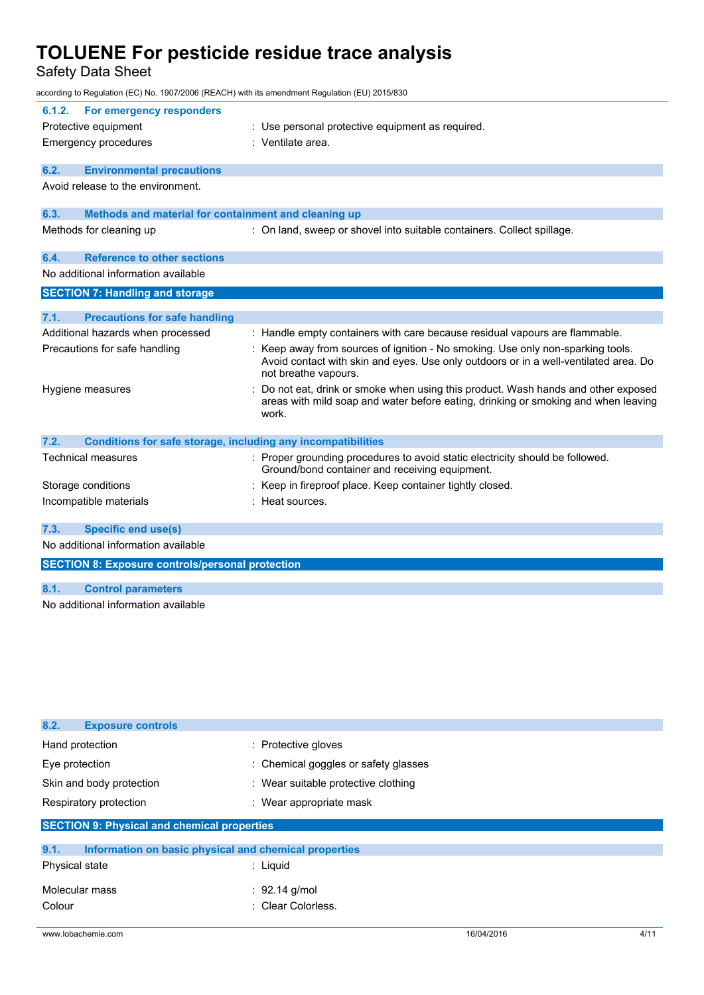Safety Data Sheet

| according to Regulation (EC) No. 1907/2006 (REACH) with its amendment Regulation (EU) 2015/830 |                                                                                                                                                                                                 |
|------------------------------------------------------------------------------------------------|-------------------------------------------------------------------------------------------------------------------------------------------------------------------------------------------------|
| 6.1.2.<br>For emergency responders                                                             |                                                                                                                                                                                                 |
| Protective equipment                                                                           | : Use personal protective equipment as required.                                                                                                                                                |
| <b>Emergency procedures</b>                                                                    | : Ventilate area.                                                                                                                                                                               |
| 6.2.<br><b>Environmental precautions</b>                                                       |                                                                                                                                                                                                 |
| Avoid release to the environment.                                                              |                                                                                                                                                                                                 |
| 6.3.<br>Methods and material for containment and cleaning up                                   |                                                                                                                                                                                                 |
| Methods for cleaning up                                                                        | : On land, sweep or shovel into suitable containers. Collect spillage.                                                                                                                          |
| <b>Reference to other sections</b><br>6.4.                                                     |                                                                                                                                                                                                 |
| No additional information available                                                            |                                                                                                                                                                                                 |
| <b>SECTION 7: Handling and storage</b>                                                         |                                                                                                                                                                                                 |
| 7.1.<br><b>Precautions for safe handling</b>                                                   |                                                                                                                                                                                                 |
| Additional hazards when processed                                                              | : Handle empty containers with care because residual vapours are flammable.                                                                                                                     |
| Precautions for safe handling                                                                  | : Keep away from sources of ignition - No smoking. Use only non-sparking tools.<br>Avoid contact with skin and eyes. Use only outdoors or in a well-ventilated area. Do<br>not breathe vapours. |
| Hygiene measures                                                                               | Do not eat, drink or smoke when using this product. Wash hands and other exposed<br>areas with mild soap and water before eating, drinking or smoking and when leaving<br>work.                 |
| Conditions for safe storage, including any incompatibilities<br>7.2.                           |                                                                                                                                                                                                 |
| <b>Technical measures</b>                                                                      | : Proper grounding procedures to avoid static electricity should be followed.<br>Ground/bond container and receiving equipment.                                                                 |
| Storage conditions                                                                             | : Keep in fireproof place. Keep container tightly closed.                                                                                                                                       |
| Incompatible materials                                                                         | : Heat sources.                                                                                                                                                                                 |
| <b>Specific end use(s)</b><br>7.3.                                                             |                                                                                                                                                                                                 |
|                                                                                                |                                                                                                                                                                                                 |

No additional information available

**SECTION 8: Exposure controls/personal protection**

# **8.1. Control parameters**

No additional information available

| <b>Exposure controls</b><br>8.2.                              |                                      |  |
|---------------------------------------------------------------|--------------------------------------|--|
| Hand protection                                               | : Protective gloves                  |  |
| Eye protection                                                | : Chemical goggles or safety glasses |  |
| Skin and body protection                                      | : Wear suitable protective clothing  |  |
| Respiratory protection                                        | : Wear appropriate mask              |  |
| <b>SECTION 9: Physical and chemical properties</b>            |                                      |  |
| 9.1.<br>Information on basic physical and chemical properties |                                      |  |
| Physical state                                                | $:$ Liquid                           |  |
| Molecular mass                                                | : 92.14 g/mol                        |  |
| Colour                                                        | : Clear Colorless.                   |  |
|                                                               |                                      |  |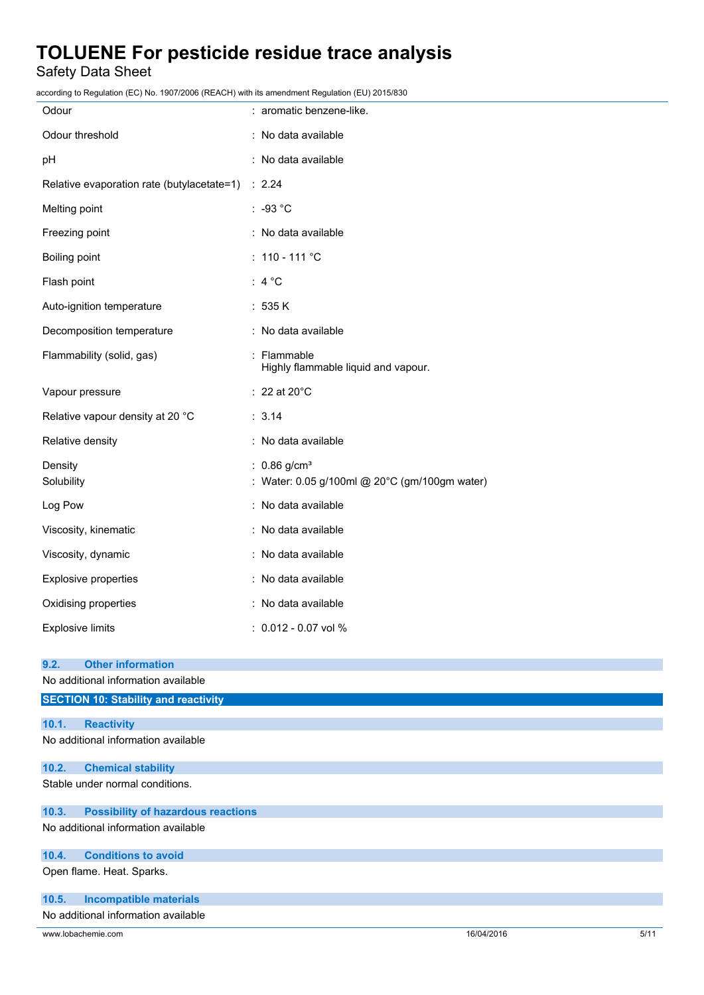Safety Data Sheet

according to Regulation (EC) No. 1907/2006 (REACH) with its amendment Regulation (EU) 2015/830

| Odour                                             | : aromatic benzene-like.                                                    |
|---------------------------------------------------|-----------------------------------------------------------------------------|
| Odour threshold                                   | : No data available                                                         |
| рH                                                | : No data available                                                         |
| Relative evaporation rate (butylacetate=1) : 2.24 |                                                                             |
| Melting point                                     | $: -93 °C$                                                                  |
| Freezing point                                    | : No data available                                                         |
| Boiling point                                     | : $110 - 111$ °C                                                            |
| Flash point                                       | : $4^{\circ}C$                                                              |
| Auto-ignition temperature                         | : 535 K                                                                     |
| Decomposition temperature                         | : No data available                                                         |
| Flammability (solid, gas)                         | : Flammable<br>Highly flammable liquid and vapour.                          |
| Vapour pressure                                   | $: 22$ at 20 $^{\circ}$ C                                                   |
| Relative vapour density at 20 °C                  | : 3.14                                                                      |
| Relative density                                  | : No data available                                                         |
| Density<br>Solubility                             | : $0.86$ g/cm <sup>3</sup><br>: Water: 0.05 g/100ml @ 20°C (gm/100gm water) |
| Log Pow                                           | : No data available                                                         |
| Viscosity, kinematic                              | : No data available                                                         |
| Viscosity, dynamic                                | : No data available                                                         |
| Explosive properties                              | : No data available                                                         |
| Oxidising properties                              | : No data available                                                         |
| <b>Explosive limits</b>                           | : 0.012 - 0.07 vol %                                                        |
| <b>Other information</b><br>9.2.                  |                                                                             |
| No additional information available               |                                                                             |
| <b>SECTION 10: Stability and reactivity</b>       |                                                                             |
| 10.1.<br><b>Reactivity</b>                        |                                                                             |
| No additional information available               |                                                                             |

# **10.2. Chemical stability**

Stable under normal conditions.

## **10.3. Possibility of hazardous reactions**

No additional information available

### **10.4. Conditions to avoid**

Open flame. Heat. Sparks.

### **10.5. Incompatible materials**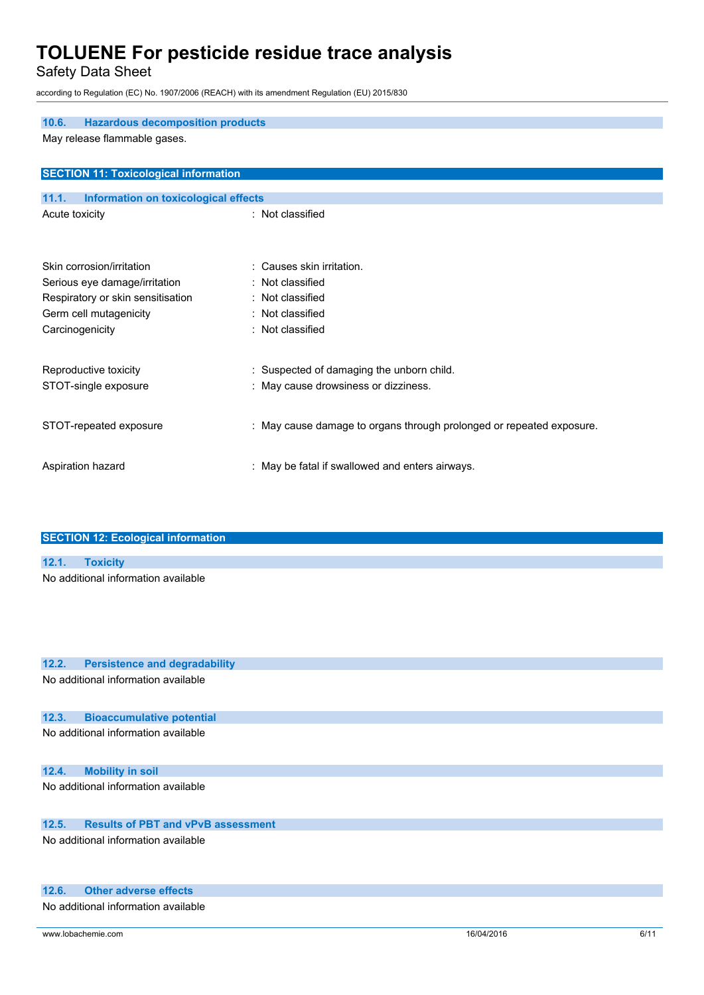Safety Data Sheet

according to Regulation (EC) No. 1907/2006 (REACH) with its amendment Regulation (EU) 2015/830

| 10.6.<br><b>Hazardous decomposition products</b>     |                                                                      |  |
|------------------------------------------------------|----------------------------------------------------------------------|--|
| May release flammable gases.                         |                                                                      |  |
| <b>SECTION 11: Toxicological information</b>         |                                                                      |  |
| <b>Information on toxicological effects</b><br>11.1. |                                                                      |  |
| Acute toxicity                                       | : Not classified                                                     |  |
| Skin corrosion/irritation                            | : Causes skin irritation.                                            |  |
| Serious eye damage/irritation                        | : Not classified                                                     |  |
| Respiratory or skin sensitisation                    | : Not classified                                                     |  |
| Germ cell mutagenicity                               | : Not classified                                                     |  |
| Carcinogenicity                                      | : Not classified                                                     |  |
| Reproductive toxicity                                | : Suspected of damaging the unborn child.                            |  |
| STOT-single exposure                                 | : May cause drowsiness or dizziness.                                 |  |
| STOT-repeated exposure                               | : May cause damage to organs through prolonged or repeated exposure. |  |
| Aspiration hazard                                    | : May be fatal if swallowed and enters airways.                      |  |
|                                                      |                                                                      |  |

| <b>SECTION 12: Ecological information</b> |
|-------------------------------------------|
|                                           |
| 12.1. Toxicity                            |
| No additional information available       |

# **12.2. Persistence and degradability**

No additional information available

### **12.3. Bioaccumulative potential**

No additional information available

# **12.4. Mobility in soil**

No additional information available

# **12.5. Results of PBT and vPvB assessment**

No additional information available

### **12.6. Other adverse effects**

No additional information available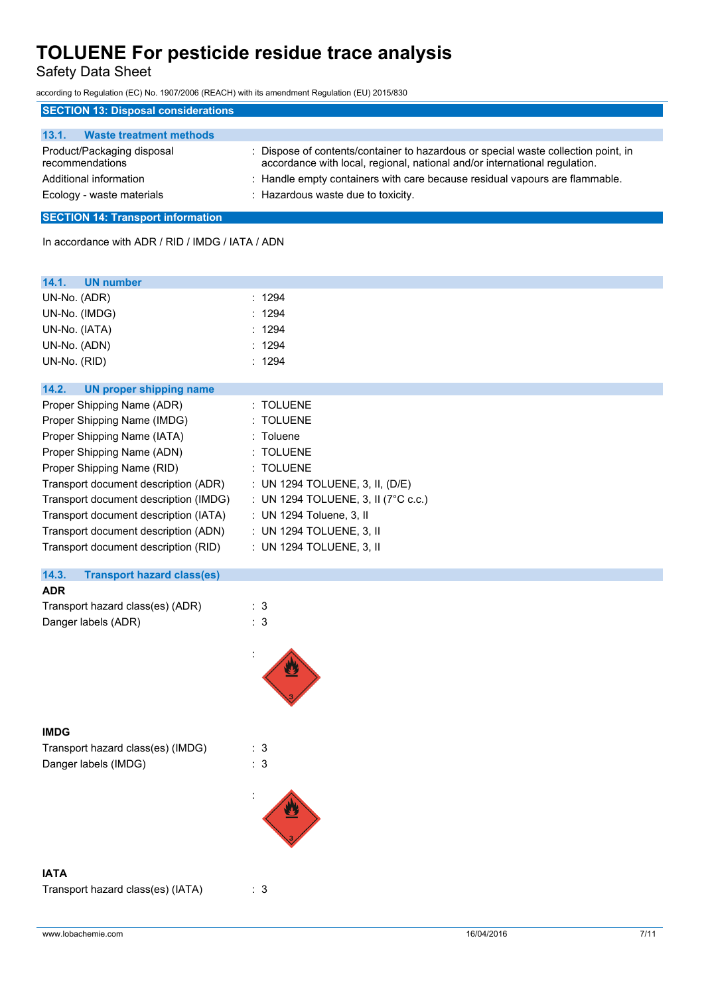Safety Data Sheet

according to Regulation (EC) No. 1907/2006 (REACH) with its amendment Regulation (EU) 2015/830

| <b>SECTION 13: Disposal considerations</b>    |                                                                                                                                                                  |  |
|-----------------------------------------------|------------------------------------------------------------------------------------------------------------------------------------------------------------------|--|
|                                               |                                                                                                                                                                  |  |
| <b>Waste treatment methods</b><br>13.1.       |                                                                                                                                                                  |  |
| Product/Packaging disposal<br>recommendations | : Dispose of contents/container to hazardous or special waste collection point, in<br>accordance with local, regional, national and/or international regulation. |  |
| Additional information                        | : Handle empty containers with care because residual vapours are flammable.                                                                                      |  |
| Ecology - waste materials                     | : Hazardous waste due to toxicity.                                                                                                                               |  |

# **SECTION 14: Transport information**

In accordance with ADR / RID / IMDG / IATA / ADN

| 14.1.<br><b>UN number</b><br>UN-No. (ADR)<br>UN-No. (IMDG) | : 1294<br>: 1294                    |
|------------------------------------------------------------|-------------------------------------|
| UN-No. (IATA)                                              | 1294                                |
| UN-No. (ADN)                                               | : 1294                              |
|                                                            | : 1294                              |
| UN-No. (RID)                                               |                                     |
| 14.2.<br><b>UN proper shipping name</b>                    |                                     |
| Proper Shipping Name (ADR)                                 | : TOLUENE                           |
| Proper Shipping Name (IMDG)                                | : TOLUENE                           |
| Proper Shipping Name (IATA)                                | : Toluene                           |
| Proper Shipping Name (ADN)                                 | : TOLUENE                           |
| Proper Shipping Name (RID)                                 | : TOLUENE                           |
| Transport document description (ADR)                       | : UN 1294 TOLUENE, 3, II, (D/E)     |
| Transport document description (IMDG)                      | : UN 1294 TOLUENE, 3, II (7°C c.c.) |
| Transport document description (IATA)                      | : UN 1294 Toluene, 3, II            |
| Transport document description (ADN)                       | : UN 1294 TOLUENE, 3, II            |
| Transport document description (RID)                       | : UN 1294 TOLUENE, 3, II            |
|                                                            |                                     |
| 14.3.<br><b>Transport hazard class(es)</b>                 |                                     |
| <b>ADR</b>                                                 |                                     |
| Transport hazard class(es) (ADR)                           | : 3                                 |
| Danger labels (ADR)                                        | : 3                                 |
|                                                            |                                     |
|                                                            |                                     |
| <b>IMDG</b>                                                |                                     |
| Transport hazard class(es) (IMDG)                          | : 3                                 |
| Danger labels (IMDG)                                       | : 3                                 |
|                                                            |                                     |
|                                                            |                                     |
|                                                            |                                     |
| <b>IATA</b>                                                |                                     |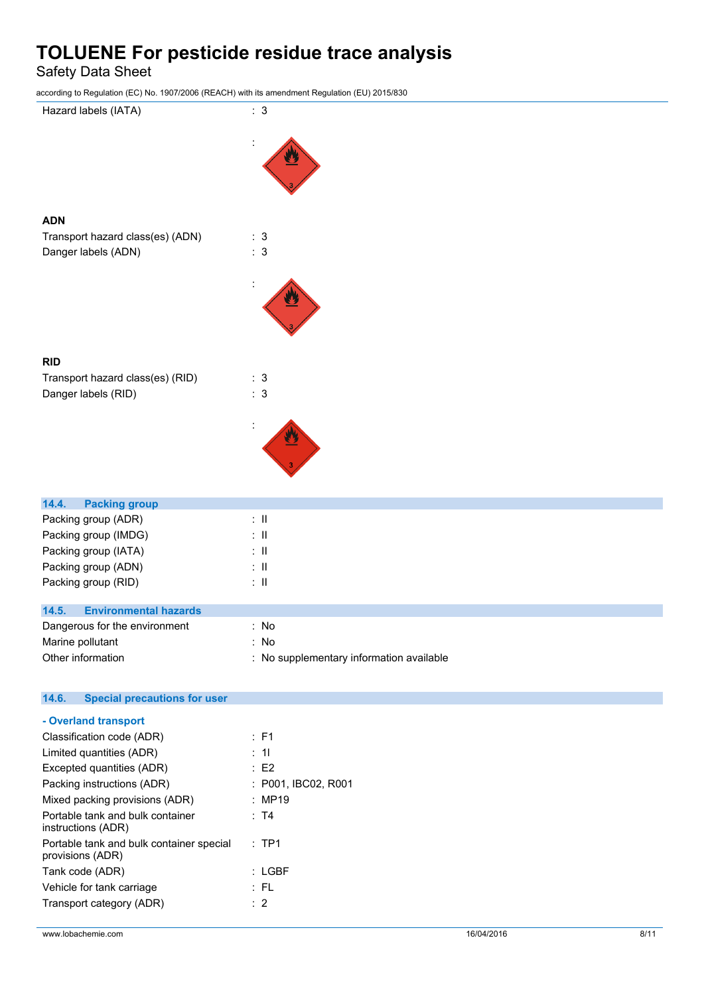Safety Data Sheet

according to Regulation (EC) No. 1907/2006 (REACH) with its amendment Regulation (EU) 2015/830



| Packing group (RID)                   | ÷Ш                                       |
|---------------------------------------|------------------------------------------|
| 14.5.<br><b>Environmental hazards</b> |                                          |
| Dangerous for the environment         | : No                                     |
| Marine pollutant                      | : No                                     |
| Other information                     | : No supplementary information available |

#### $14.6.$ **14.6. Special precautions for user**

| - Overland transport                                         |                     |
|--------------------------------------------------------------|---------------------|
| Classification code (ADR)                                    | : F1                |
| Limited quantities (ADR)                                     | : 11                |
| Excepted quantities (ADR)                                    | :E2                 |
| Packing instructions (ADR)                                   | : P001, IBC02, R001 |
| Mixed packing provisions (ADR)                               | : MP19              |
| Portable tank and bulk container<br>instructions (ADR)       | ∵ T4                |
| Portable tank and bulk container special<br>provisions (ADR) | $:$ TP1             |
| Tank code (ADR)                                              | : LGBF              |
| Vehicle for tank carriage                                    | : FL                |
| Transport category (ADR)                                     | $\therefore$ 2      |
|                                                              |                     |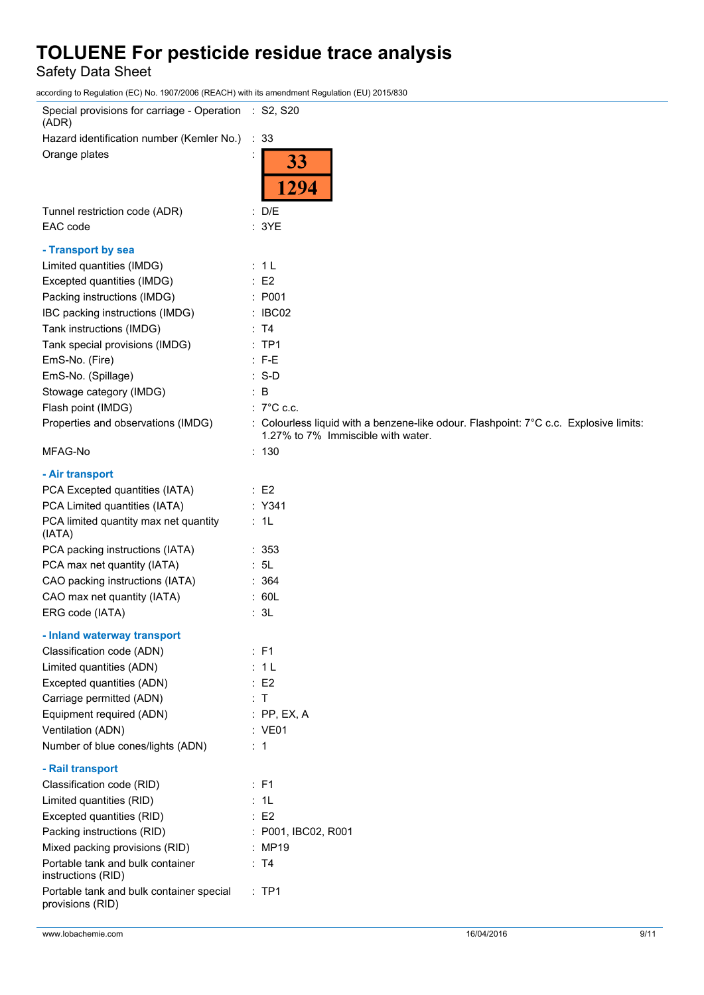Safety Data Sheet

according to Regulation (EC) No. 1907/2006 (REACH) with its amendment Regulation (EU) 2015/830

| Special provisions for carriage - Operation : S2, S20<br>(ADR) |                                                                                                                             |
|----------------------------------------------------------------|-----------------------------------------------------------------------------------------------------------------------------|
| Hazard identification number (Kemler No.)                      | ∴ 33                                                                                                                        |
| Orange plates                                                  | 33<br>1294                                                                                                                  |
| Tunnel restriction code (ADR)<br>EAC code                      | : D/E<br>: 3YE                                                                                                              |
| - Transport by sea                                             |                                                                                                                             |
| Limited quantities (IMDG)                                      | : 1L                                                                                                                        |
| Excepted quantities (IMDG)                                     | $\therefore$ E2                                                                                                             |
| Packing instructions (IMDG)                                    | : P001                                                                                                                      |
| IBC packing instructions (IMDG)                                | : IBC02                                                                                                                     |
| Tank instructions (IMDG)                                       | : T4                                                                                                                        |
| Tank special provisions (IMDG)                                 | :TP1                                                                                                                        |
| EmS-No. (Fire)                                                 | $: F-E$                                                                                                                     |
| EmS-No. (Spillage)                                             | $: S-D$                                                                                                                     |
| Stowage category (IMDG)                                        | $\therefore$ B                                                                                                              |
| Flash point (IMDG)                                             | $: 7^{\circ}$ C c.c.                                                                                                        |
| Properties and observations (IMDG)                             | : Colourless liquid with a benzene-like odour. Flashpoint: 7°C c.c. Explosive limits:<br>1.27% to 7% Immiscible with water. |
| MFAG-No                                                        | : 130                                                                                                                       |
| - Air transport                                                |                                                                                                                             |
| PCA Excepted quantities (IATA)                                 | $\therefore$ E2                                                                                                             |
| PCA Limited quantities (IATA)                                  | : Y341                                                                                                                      |
| PCA limited quantity max net quantity<br>(IATA)                | : 1L                                                                                                                        |
| PCA packing instructions (IATA)                                | : 353                                                                                                                       |
| PCA max net quantity (IATA)                                    | : 5L                                                                                                                        |
| CAO packing instructions (IATA)                                | : 364                                                                                                                       |
| CAO max net quantity (IATA)                                    | : 60L                                                                                                                       |
| ERG code (IATA)                                                | : 3L                                                                                                                        |
| - Inland waterway transport                                    |                                                                                                                             |
| Classification code (ADN)                                      | : F1                                                                                                                        |
| Limited quantities (ADN)                                       | : 1L                                                                                                                        |
| Excepted quantities (ADN)                                      | $\therefore$ E2                                                                                                             |
| Carriage permitted (ADN)                                       | : T                                                                                                                         |
| Equipment required (ADN)                                       | $:$ PP, EX, A                                                                                                               |
| Ventilation (ADN)                                              | : VE01                                                                                                                      |
| Number of blue cones/lights (ADN)                              | $\therefore$ 1                                                                                                              |
| - Rail transport                                               |                                                                                                                             |
| Classification code (RID)                                      | : F1                                                                                                                        |
| Limited quantities (RID)                                       | : 1L                                                                                                                        |
| Excepted quantities (RID)                                      | $\therefore$ E2                                                                                                             |
| Packing instructions (RID)                                     | : P001, IBC02, R001                                                                                                         |
| Mixed packing provisions (RID)                                 | : MP19                                                                                                                      |
| Portable tank and bulk container<br>instructions (RID)         | : T4                                                                                                                        |
| Portable tank and bulk container special<br>provisions (RID)   | :TP1                                                                                                                        |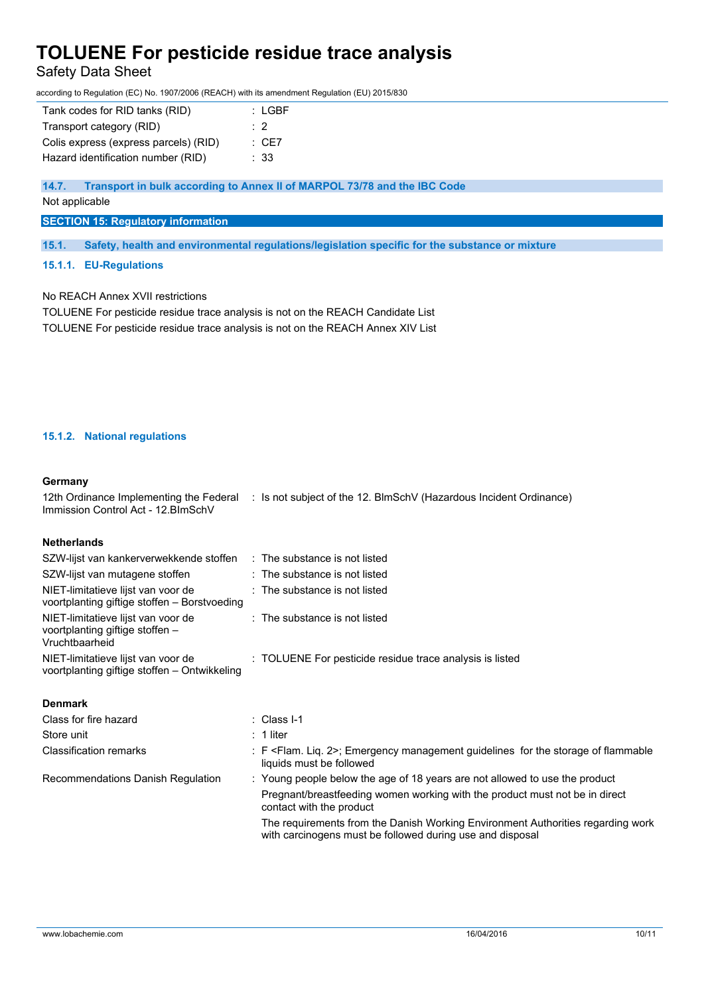Safety Data Sheet

according to Regulation (EC) No. 1907/2006 (REACH) with its amendment Regulation (EU) 2015/830

| Tank codes for RID tanks (RID)        | : LGBF           |
|---------------------------------------|------------------|
| Transport category (RID)              | $\cdot$ 2        |
| Colis express (express parcels) (RID) | $\therefore$ CE7 |
| Hazard identification number (RID)    | : 33             |

**14.7. Transport in bulk according to Annex II of MARPOL 73/78 and the IBC Code**

Not applicable

#### **SECTION 15: Regulatory information**

**15.1. Safety, health and environmental regulations/legislation specific for the substance or mixture**

#### **15.1.1. EU-Regulations**

No REACH Annex XVII restrictions

TOLUENE For pesticide residue trace analysis is not on the REACH Candidate List TOLUENE For pesticide residue trace analysis is not on the REACH Annex XIV List

### **15.1.2. National regulations**

Store unit : 1 liter

#### **Germany**

| 12th Ordinance Implementing the Federal<br>Immission Control Act - 12. BlmSchV          | : Is not subject of the 12. BlmSchV (Hazardous Incident Ordinance) |
|-----------------------------------------------------------------------------------------|--------------------------------------------------------------------|
| <b>Netherlands</b>                                                                      |                                                                    |
| SZW-lijst van kankerverwekkende stoffen                                                 | $\therefore$ The substance is not listed                           |
| SZW-lijst van mutagene stoffen                                                          | : The substance is not listed                                      |
| NIET-limitatieve lijst van voor de<br>voortplanting giftige stoffen – Borstvoeding      | $:$ The substance is not listed                                    |
| NIET-limitatieve lijst van voor de<br>voortplanting giftige stoffen -<br>Vruchtbaarheid | $\therefore$ The substance is not listed                           |
| NIET-limitatieve lijst van voor de<br>voortplanting giftige stoffen – Ontwikkeling      | : TOLUENE For pesticide residue trace analysis is listed           |
| <b>Denmark</b>                                                                          |                                                                    |
| Class for fire hazard                                                                   | : Class I-1                                                        |

|  | Classification remarks            | : F <flam. 2="" lig.="">; Emergency management quidelines for the storage of flammable<br/>liquids must be followed</flam.>                  |
|--|-----------------------------------|----------------------------------------------------------------------------------------------------------------------------------------------|
|  | Recommendations Danish Regulation | : Young people below the age of 18 years are not allowed to use the product                                                                  |
|  |                                   | Pregnant/breastfeeding women working with the product must not be in direct<br>contact with the product                                      |
|  |                                   | The requirements from the Danish Working Environment Authorities regarding work<br>with carcinogens must be followed during use and disposal |
|  |                                   |                                                                                                                                              |